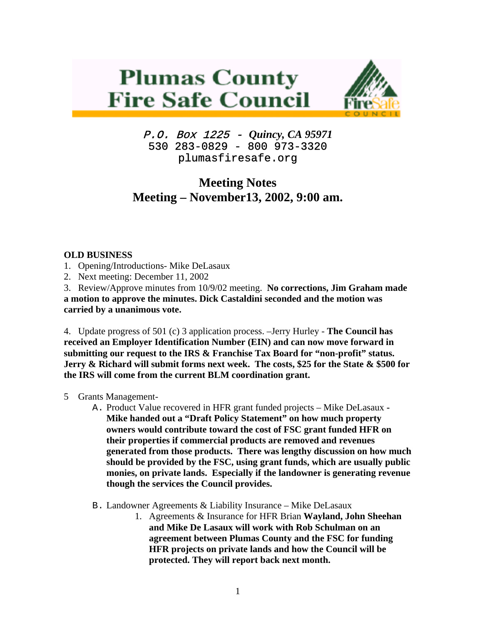# **Plumas County Fire Safe Council**



P.O. Box 1225 - *Quincy, CA 95971*  530 283-0829 - 800 973-3320 plumasfiresafe.org

# **Meeting Notes Meeting – November13, 2002, 9:00 am.**

## **OLD BUSINESS**

- 1. Opening/Introductions- Mike DeLasaux
- 2. Next meeting: December 11, 2002

3. Review/Approve minutes from 10/9/02 meeting. **No corrections, Jim Graham made a motion to approve the minutes. Dick Castaldini seconded and the motion was carried by a unanimous vote.**

4. Update progress of 501 (c) 3 application process. –Jerry Hurley - **The Council has received an Employer Identification Number (EIN) and can now move forward in submitting our request to the IRS & Franchise Tax Board for "non-profit" status. Jerry & Richard will submit forms next week. The costs, \$25 for the State & \$500 for the IRS will come from the current BLM coordination grant.** 

## 5 Grants Management-

- A. Product Value recovered in HFR grant funded projects Mike DeLasaux **Mike handed out a "Draft Policy Statement" on how much property owners would contribute toward the cost of FSC grant funded HFR on their properties if commercial products are removed and revenues generated from those products. There was lengthy discussion on how much should be provided by the FSC, using grant funds, which are usually public monies, on private lands. Especially if the landowner is generating revenue though the services the Council provides.**
- B. Landowner Agreements & Liability Insurance Mike DeLasaux
	- 1. Agreements & Insurance for HFR Brian **Wayland, John Sheehan and Mike De Lasaux will work with Rob Schulman on an agreement between Plumas County and the FSC for funding HFR projects on private lands and how the Council will be protected. They will report back next month.**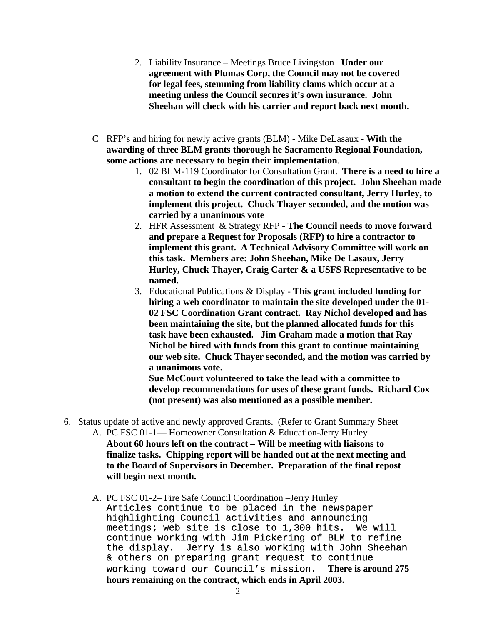- 2. Liability Insurance Meetings Bruce Livingston **Under our agreement with Plumas Corp, the Council may not be covered for legal fees, stemming from liability clams which occur at a meeting unless the Council secures it's own insurance. John Sheehan will check with his carrier and report back next month.**
- C RFP's and hiring for newly active grants (BLM) Mike DeLasaux **With the awarding of three BLM grants thorough he Sacramento Regional Foundation, some actions are necessary to begin their implementation**.
	- 1. 02 BLM-119 Coordinator for Consultation Grant. **There is a need to hire a consultant to begin the coordination of this project. John Sheehan made a motion to extend the current contracted consultant, Jerry Hurley, to implement this project. Chuck Thayer seconded, and the motion was carried by a unanimous vote**
	- 2. HFR Assessment & Strategy RFP **The Council needs to move forward and prepare a Request for Proposals (RFP) to hire a contractor to implement this grant. A Technical Advisory Committee will work on this task. Members are: John Sheehan, Mike De Lasaux, Jerry Hurley, Chuck Thayer, Craig Carter & a USFS Representative to be named.**
	- 3. Educational Publications & Display **This grant included funding for hiring a web coordinator to maintain the site developed under the 01- 02 FSC Coordination Grant contract. Ray Nichol developed and has been maintaining the site, but the planned allocated funds for this task have been exhausted. Jim Graham made a motion that Ray Nichol be hired with funds from this grant to continue maintaining our web site. Chuck Thayer seconded, and the motion was carried by a unanimous vote.**

**Sue McCourt volunteered to take the lead with a committee to develop recommendations for uses of these grant funds. Richard Cox (not present) was also mentioned as a possible member.**

- 6. Status update of active and newly approved Grants. (Refer to Grant Summary Sheet A. PC FSC 01-1— Homeowner Consultation & Education-Jerry Hurley
	- **About 60 hours left on the contract Will be meeting with liaisons to finalize tasks. Chipping report will be handed out at the next meeting and to the Board of Supervisors in December. Preparation of the final repost will begin next month.**
	- A. PC FSC 01-2– Fire Safe Council Coordination –Jerry Hurley Articles continue to be placed in the newspaper highlighting Council activities and announcing meetings; web site is close to 1,300 hits. We will continue working with Jim Pickering of BLM to refine the display. Jerry is also working with John Sheehan & others on preparing grant request to continue working toward our Council's mission. **There is around 275 hours remaining on the contract, which ends in April 2003.**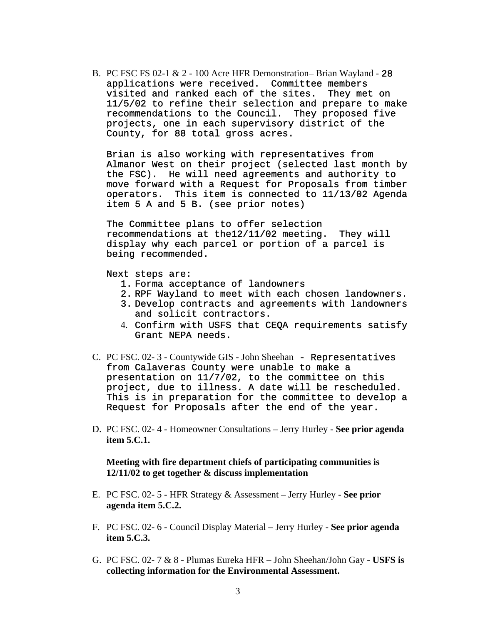B. PC FSC FS 02-1 & 2 - 100 Acre HFR Demonstration– Brian Wayland - 28 applications were received. Committee members visited and ranked each of the sites. They met on 11/5/02 to refine their selection and prepare to make recommendations to the Council. They proposed five projects, one in each supervisory district of the County, for 88 total gross acres.

Brian is also working with representatives from Almanor West on their project (selected last month by the FSC). He will need agreements and authority to move forward with a Request for Proposals from timber operators. This item is connected to 11/13/02 Agenda item 5 A and 5 B. (see prior notes)

The Committee plans to offer selection recommendations at the12/11/02 meeting. They will display why each parcel or portion of a parcel is being recommended.

#### Next steps are:

- 1. Forma acceptance of landowners
- 2. RPF Wayland to meet with each chosen landowners.
- 3. Develop contracts and agreements with landowners and solicit contractors.
- 4. Confirm with USFS that CEQA requirements satisfy Grant NEPA needs.
- C. PC FSC. 02- 3 Countywide GIS John Sheehan Representatives from Calaveras County were unable to make a presentation on 11/7/02, to the committee on this project, due to illness. A date will be rescheduled. This is in preparation for the committee to develop a Request for Proposals after the end of the year.
- D. PC FSC. 02- 4 Homeowner Consultations Jerry Hurley - **See prior agenda item 5.C.1.**

#### **Meeting with fire department chiefs of participating communities is 12/11/02 to get together & discuss implementation**

- E. PC FSC. 02- 5 HFR Strategy & Assessment Jerry Hurley **See prior agenda item 5.C.2.**
- F. PC FSC. 02- 6 Council Display Material Jerry Hurley **See prior agenda item 5.C.3.**
- G. PC FSC. 02- 7 & 8 Plumas Eureka HFR John Sheehan/John Gay - **USFS is collecting information for the Environmental Assessment.**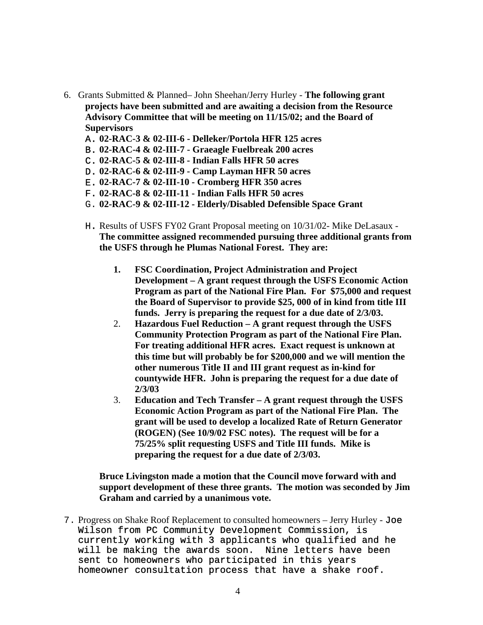- 6. Grants Submitted & Planned– John Sheehan/Jerry Hurley **The following grant projects have been submitted and are awaiting a decision from the Resource Advisory Committee that will be meeting on 11/15/02; and the Board of Supervisors** 
	- A. **02-RAC-3 & 02-III-6 Delleker/Portola HFR 125 acres**
	- B. **02-RAC-4 & 02-III-7 Graeagle Fuelbreak 200 acres**
	- C. **02-RAC-5 & 02-III-8 Indian Falls HFR 50 acres**
	- D. **02-RAC-6 & 02-III-9 Camp Layman HFR 50 acres**
	- E. **02-RAC-7 & 02-III-10 Cromberg HFR 350 acres**
	- F. **02-RAC-8 & 02-III-11 Indian Falls HFR 50 acres**
	- G. **02-RAC-9 & 02-III-12 Elderly/Disabled Defensible Space Grant**
	- H. Results of USFS FY02 Grant Proposal meeting on 10/31/02- Mike DeLasaux **The committee assigned recommended pursuing three additional grants from the USFS through he Plumas National Forest. They are:** 
		- **1. FSC Coordination, Project Administration and Project Development – A grant request through the USFS Economic Action Program as part of the National Fire Plan. For \$75,000 and request the Board of Supervisor to provide \$25, 000 of in kind from title III funds. Jerry is preparing the request for a due date of 2/3/03.**
		- 2. **Hazardous Fuel Reduction A grant request through the USFS Community Protection Program as part of the National Fire Plan. For treating additional HFR acres. Exact request is unknown at this time but will probably be for \$200,000 and we will mention the other numerous Title II and III grant request as in-kind for countywide HFR. John is preparing the request for a due date of 2/3/03**
		- 3. **Education and Tech Transfer A grant request through the USFS Economic Action Program as part of the National Fire Plan. The grant will be used to develop a localized Rate of Return Generator (ROGEN) (See 10/9/02 FSC notes). The request will be for a 75/25% split requesting USFS and Title III funds. Mike is preparing the request for a due date of 2/3/03.**

**Bruce Livingston made a motion that the Council move forward with and support development of these three grants. The motion was seconded by Jim Graham and carried by a unanimous vote.** 

7. Progress on Shake Roof Replacement to consulted homeowners – Jerry Hurley - Joe Wilson from PC Community Development Commission, is currently working with 3 applicants who qualified and he will be making the awards soon. Nine letters have been sent to homeowners who participated in this years homeowner consultation process that have a shake roof.